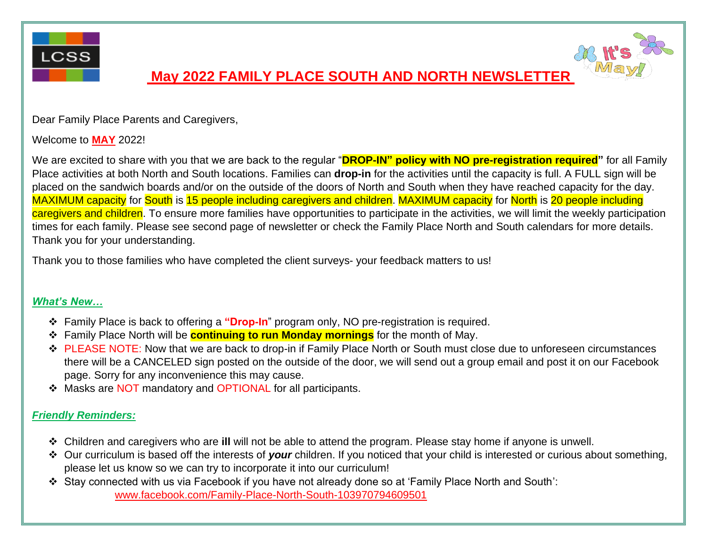

## **May 2022 FAMILY PLACE SOUTH AND NORTH NEWSLETTER**



Dear Family Place Parents and Caregivers,

Welcome to **MAY** 2022!

We are excited to share with you that we are back to the regular "**DROP-IN" policy with NO pre-registration required"** for all Family Place activities at both North and South locations. Families can **drop-in** for the activities until the capacity is full. A FULL sign will be placed on the sandwich boards and/or on the outside of the doors of North and South when they have reached capacity for the day. MAXIMUM capacity for South is 15 people including caregivers and children. MAXIMUM capacity for North is 20 people including caregivers and children. To ensure more families have opportunities to participate in the activities, we will limit the weekly participation times for each family. Please see second page of newsletter or check the Family Place North and South calendars for more details. Thank you for your understanding.

Thank you to those families who have completed the client surveys- your feedback matters to us!

#### *What's New…*

- ❖ Family Place is back to offering a **"Drop-In**" program only, NO pre-registration is required.
- ❖ Family Place North will be **continuing to run Monday mornings** for the month of May.
- ❖ PLEASE NOTE: Now that we are back to drop-in if Family Place North or South must close due to unforeseen circumstances there will be a CANCELED sign posted on the outside of the door, we will send out a group email and post it on our Facebook page. Sorry for any inconvenience this may cause.
- ❖ Masks are NOT mandatory and OPTIONAL for all participants.

### *Friendly Reminders:*

- ❖ Children and caregivers who are **ill** will not be able to attend the program. Please stay home if anyone is unwell.
- ❖ Our curriculum is based off the interests of *your* children. If you noticed that your child is interested or curious about something, please let us know so we can try to incorporate it into our curriculum!
- ❖ Stay connected with us via Facebook if you have not already done so at 'Family Place North and South': [www.facebook.com/Family-Place-North-South-103970794609501](http://www.facebook.com/Family-Place-North-South-103970794609501)